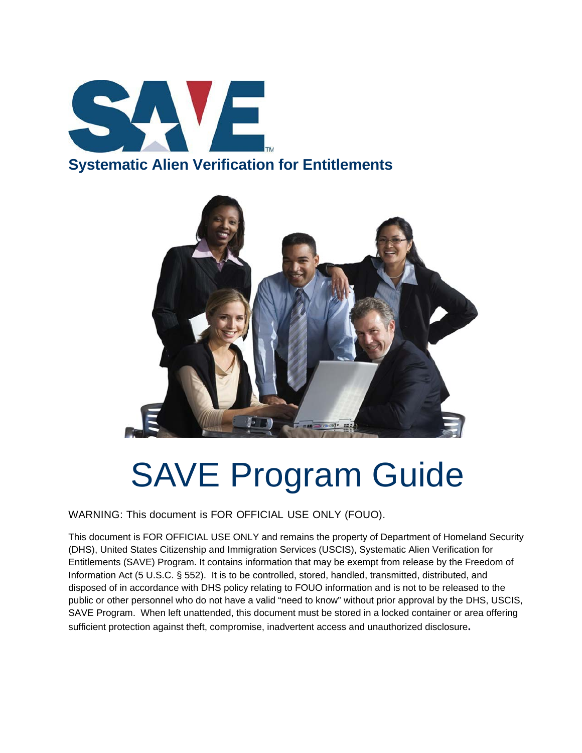



# SAVE Program Guide

WARNING: This document is FOR OFFICIAL USE ONLY (FOUO).

This document is FOR OFFICIAL USE ONLY and remains the property of Department of Homeland Security (DHS), United States Citizenship and Immigration Services (USCIS), Systematic Alien Verification for Entitlements (SAVE) Program. It contains information that may be exempt from release by the Freedom of Information Act (5 U.S.C. § 552). It is to be controlled, stored, handled, transmitted, distributed, and disposed of in accordance with DHS policy relating to FOUO information and is not to be released to the public or other personnel who do not have a valid "need to know" without prior approval by the DHS, USCIS, SAVE Program. When left unattended, this document must be stored in a locked container or area offering sufficient protection against theft, compromise, inadvertent access and unauthorized disclosure**.**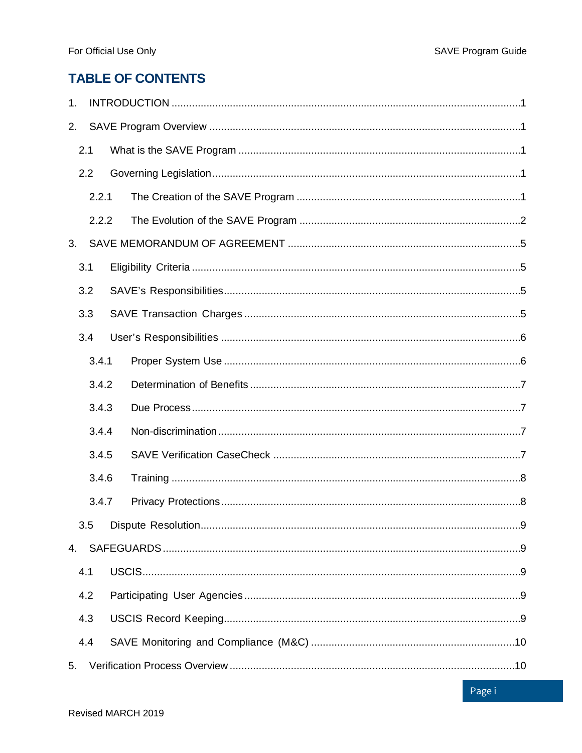### **TABLE OF CONTENTS**

| 1. |       |       |  |  |  |
|----|-------|-------|--|--|--|
| 2. |       |       |  |  |  |
|    | 2.1   |       |  |  |  |
|    | 2.2   |       |  |  |  |
|    |       | 2.2.1 |  |  |  |
|    | 2.2.2 |       |  |  |  |
| 3. |       |       |  |  |  |
|    | 3.1   |       |  |  |  |
|    | 3.2   |       |  |  |  |
|    | 3.3   |       |  |  |  |
|    | 3.4   |       |  |  |  |
|    |       | 3.4.1 |  |  |  |
|    |       | 3.4.2 |  |  |  |
|    |       | 3.4.3 |  |  |  |
|    |       | 3.4.4 |  |  |  |
|    |       | 3.4.5 |  |  |  |
|    |       | 3.4.6 |  |  |  |
|    |       | 3.4.7 |  |  |  |
|    |       |       |  |  |  |
| 4. |       |       |  |  |  |
|    | 4.1   |       |  |  |  |
|    | 4.2   |       |  |  |  |
|    | 4.3   |       |  |  |  |
|    | 4.4   |       |  |  |  |
| 5. |       |       |  |  |  |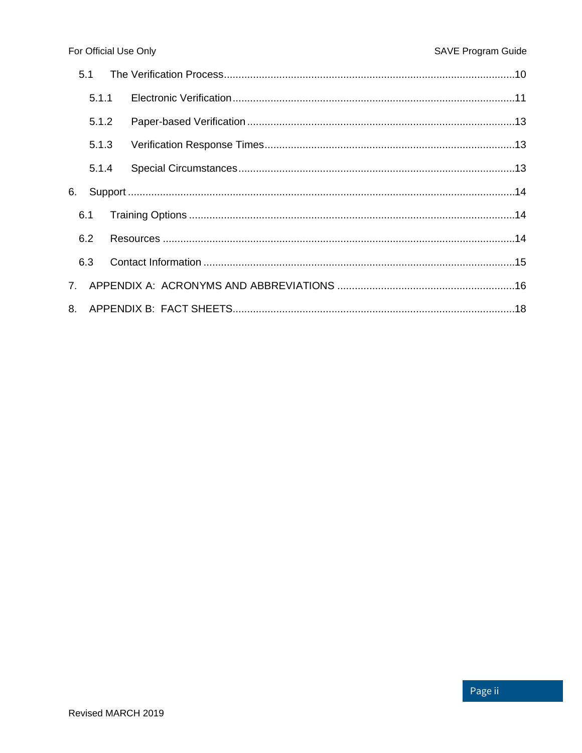|    | 5.1   |  |  |  |
|----|-------|--|--|--|
|    | 5.1.1 |  |  |  |
|    | 5.1.2 |  |  |  |
|    | 5.1.3 |  |  |  |
|    | 5.1.4 |  |  |  |
| 6. |       |  |  |  |
|    | 6.1   |  |  |  |
|    | 6.2   |  |  |  |
|    | 6.3   |  |  |  |
|    |       |  |  |  |
|    |       |  |  |  |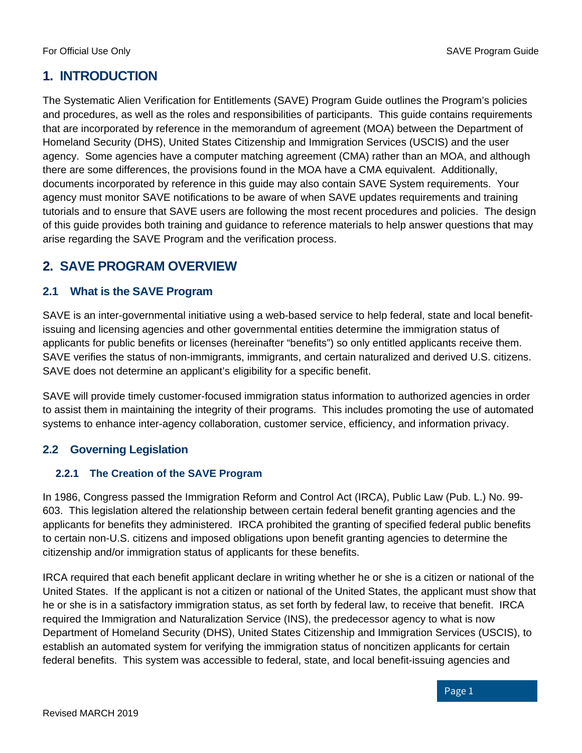#### <span id="page-3-0"></span>**1. INTRODUCTION**

The Systematic Alien Verification for Entitlements (SAVE) Program Guide outlines the Program's policies and procedures, as well as the roles and responsibilities of participants. This guide contains requirements that are incorporated by reference in the memorandum of agreement (MOA) between the Department of Homeland Security (DHS), United States Citizenship and Immigration Services (USCIS) and the user agency. Some agencies have a computer matching agreement (CMA) rather than an MOA, and although there are some differences, the provisions found in the MOA have a CMA equivalent. Additionally, documents incorporated by reference in this guide may also contain SAVE System requirements. Your agency must monitor SAVE notifications to be aware of when SAVE updates requirements and training tutorials and to ensure that SAVE users are following the most recent procedures and policies. The design of this guide provides both training and guidance to reference materials to help answer questions that may arise regarding the SAVE Program and the verification process.

#### <span id="page-3-1"></span>**2. SAVE PROGRAM OVERVIEW**

#### <span id="page-3-2"></span>**2.1 What is the SAVE Program**

SAVE is an inter-governmental initiative using a web-based service to help federal, state and local benefitissuing and licensing agencies and other governmental entities determine the immigration status of applicants for public benefits or licenses (hereinafter "benefits") so only entitled applicants receive them. SAVE verifies the status of non-immigrants, immigrants, and certain naturalized and derived U.S. citizens. SAVE does not determine an applicant's eligibility for a specific benefit.

SAVE will provide timely customer-focused immigration status information to authorized agencies in order to assist them in maintaining the integrity of their programs. This includes promoting the use of automated systems to enhance inter-agency collaboration, customer service, efficiency, and information privacy.

#### <span id="page-3-3"></span>**2.2 Governing Legislation**

#### <span id="page-3-4"></span>**2.2.1 The Creation of the SAVE Program**

In 1986, Congress passed the Immigration Reform and Control Act (IRCA), Public Law (Pub. L.) No. 99- 603. This legislation altered the relationship between certain federal benefit granting agencies and the applicants for benefits they administered. IRCA prohibited the granting of specified federal public benefits to certain non-U.S. citizens and imposed obligations upon benefit granting agencies to determine the citizenship and/or immigration status of applicants for these benefits.

IRCA required that each benefit applicant declare in writing whether he or she is a citizen or national of the United States. If the applicant is not a citizen or national of the United States, the applicant must show that he or she is in a satisfactory immigration status, as set forth by federal law, to receive that benefit. IRCA required the Immigration and Naturalization Service (INS), the predecessor agency to what is now Department of Homeland Security (DHS), United States Citizenship and Immigration Services (USCIS), to establish an automated system for verifying the immigration status of noncitizen applicants for certain federal benefits. This system was accessible to federal, state, and local benefit-issuing agencies and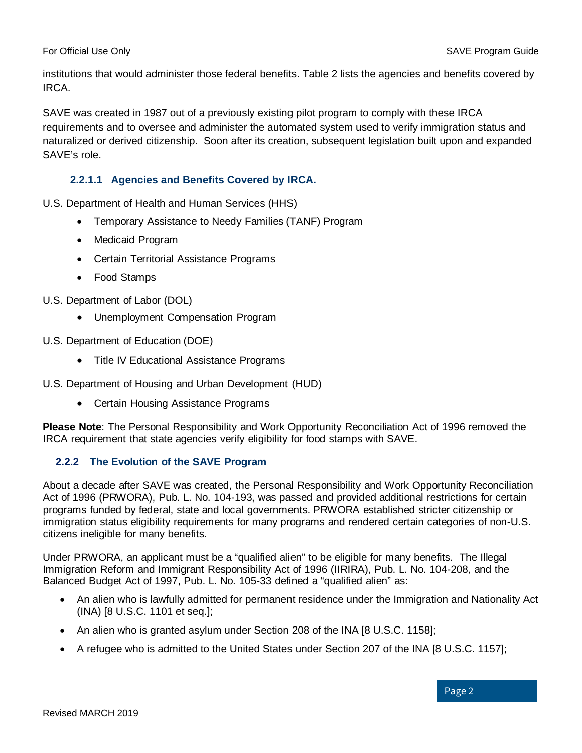institutions that would administer those federal benefits. Table 2 lists the agencies and benefits covered by IRCA.

SAVE was created in 1987 out of a previously existing pilot program to comply with these IRCA requirements and to oversee and administer the automated system used to verify immigration status and naturalized or derived citizenship. Soon after its creation, subsequent legislation built upon and expanded SAVE's role.

#### **2.2.1.1 Agencies and Benefits Covered by IRCA.**

U.S. Department of Health and Human Services (HHS)

- Temporary Assistance to Needy Families (TANF) Program
- Medicaid Program
- Certain Territorial Assistance Programs
- Food Stamps
- U.S. Department of Labor (DOL)
	- Unemployment Compensation Program
- U.S. Department of Education (DOE)
	- Title IV Educational Assistance Programs
- U.S. Department of Housing and Urban Development (HUD)
	- Certain Housing Assistance Programs

**Please Note**: The Personal Responsibility and Work Opportunity Reconciliation Act of 1996 removed the IRCA requirement that state agencies verify eligibility for food stamps with SAVE.

#### <span id="page-4-0"></span>**2.2.2 The Evolution of the SAVE Program**

About a decade after SAVE was created, the Personal Responsibility and Work Opportunity Reconciliation Act of 1996 (PRWORA), Pub. L. No. 104-193, was passed and provided additional restrictions for certain programs funded by federal, state and local governments. PRWORA established stricter citizenship or immigration status eligibility requirements for many programs and rendered certain categories of non-U.S. citizens ineligible for many benefits.

Under PRWORA, an applicant must be a "qualified alien" to be eligible for many benefits. The Illegal Immigration Reform and Immigrant Responsibility Act of 1996 (IIRIRA), Pub. L. No. 104-208, and the Balanced Budget Act of 1997, Pub. L. No. 105-33 defined a "qualified alien" as:

- An alien who is lawfully admitted for permanent residence under the Immigration and Nationality Act (INA) [8 U.S.C. 1101 et seq.];
- An alien who is granted asylum under Section 208 of the INA [8 U.S.C. 1158];
- A refugee who is admitted to the United States under Section 207 of the INA [8 U.S.C. 1157];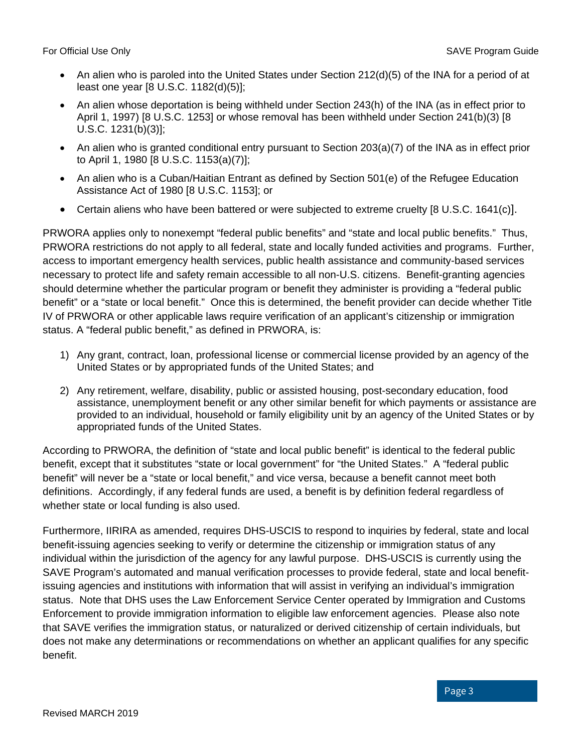- An alien who is paroled into the United States under Section 212(d)(5) of the INA for a period of at least one year [8 U.S.C. 1182(d)(5)];
- An alien whose deportation is being withheld under Section 243(h) of the INA (as in effect prior to April 1, 1997) [8 U.S.C. 1253] or whose removal has been withheld under Section 241(b)(3) [8 U.S.C. 1231(b)(3)];
- An alien who is granted conditional entry pursuant to Section 203(a)(7) of the INA as in effect prior to April 1, 1980 [8 U.S.C. 1153(a)(7)];
- An alien who is a Cuban/Haitian Entrant as defined by Section 501(e) of the Refugee Education Assistance Act of 1980 [8 U.S.C. 1153]; or
- Certain aliens who have been battered or were subjected to extreme cruelty [8 U.S.C. 1641(c)].

PRWORA applies only to nonexempt "federal public benefits" and "state and local public benefits." Thus, PRWORA restrictions do not apply to all federal, state and locally funded activities and programs. Further, access to important emergency health services, public health assistance and community-based services necessary to protect life and safety remain accessible to all non-U.S. citizens. Benefit-granting agencies should determine whether the particular program or benefit they administer is providing a "federal public benefit" or a "state or local benefit." Once this is determined, the benefit provider can decide whether Title IV of PRWORA or other applicable laws require verification of an applicant's citizenship or immigration status. A "federal public benefit," as defined in PRWORA, is:

- 1) Any grant, contract, loan, professional license or commercial license provided by an agency of the United States or by appropriated funds of the United States; and
- 2) Any retirement, welfare, disability, public or assisted housing, post-secondary education, food assistance, unemployment benefit or any other similar benefit for which payments or assistance are provided to an individual, household or family eligibility unit by an agency of the United States or by appropriated funds of the United States.

According to PRWORA, the definition of "state and local public benefit" is identical to the federal public benefit, except that it substitutes "state or local government" for "the United States." A "federal public benefit" will never be a "state or local benefit," and vice versa, because a benefit cannot meet both definitions. Accordingly, if any federal funds are used, a benefit is by definition federal regardless of whether state or local funding is also used.

Furthermore, IIRIRA as amended, requires DHS-USCIS to respond to inquiries by federal, state and local benefit-issuing agencies seeking to verify or determine the citizenship or immigration status of any individual within the jurisdiction of the agency for any lawful purpose. DHS-USCIS is currently using the SAVE Program's automated and manual verification processes to provide federal, state and local benefitissuing agencies and institutions with information that will assist in verifying an individual's immigration status. Note that DHS uses the Law Enforcement Service Center operated by Immigration and Customs Enforcement to provide immigration information to eligible law enforcement agencies. Please also note that SAVE verifies the immigration status, or naturalized or derived citizenship of certain individuals, but does not make any determinations or recommendations on whether an applicant qualifies for any specific benefit.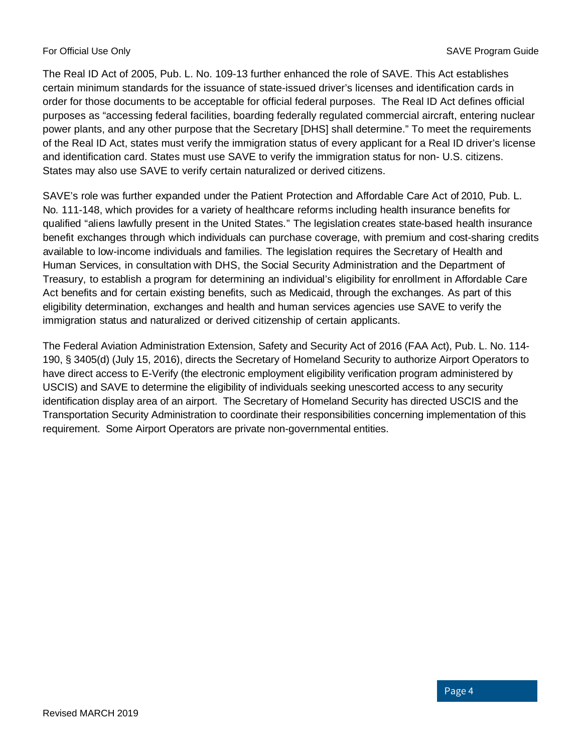The Real ID Act of 2005, Pub. L. No. 109-13 further enhanced the role of SAVE. This Act establishes certain minimum standards for the issuance of state-issued driver's licenses and identification cards in order for those documents to be acceptable for official federal purposes. The Real ID Act defines official purposes as "accessing federal facilities, boarding federally regulated commercial aircraft, entering nuclear power plants, and any other purpose that the Secretary [DHS] shall determine." To meet the requirements of the Real ID Act, states must verify the immigration status of every applicant for a Real ID driver's license and identification card. States must use SAVE to verify the immigration status for non- U.S. citizens. States may also use SAVE to verify certain naturalized or derived citizens.

SAVE's role was further expanded under the Patient Protection and Affordable Care Act of 2010, Pub. L. No. 111-148, which provides for a variety of healthcare reforms including health insurance benefits for qualified "aliens lawfully present in the United States." The legislation creates state-based health insurance benefit exchanges through which individuals can purchase coverage, with premium and cost-sharing credits available to low-income individuals and families. The legislation requires the Secretary of Health and Human Services, in consultation with DHS, the Social Security Administration and the Department of Treasury, to establish a program for determining an individual's eligibility for enrollment in Affordable Care Act benefits and for certain existing benefits, such as Medicaid, through the exchanges. As part of this eligibility determination, exchanges and health and human services agencies use SAVE to verify the immigration status and naturalized or derived citizenship of certain applicants.

The Federal Aviation Administration Extension, Safety and Security Act of 2016 (FAA Act), Pub. L. No. 114- 190, § 3405(d) (July 15, 2016), directs the Secretary of Homeland Security to authorize Airport Operators to have direct access to E-Verify (the electronic employment eligibility verification program administered by USCIS) and SAVE to determine the eligibility of individuals seeking unescorted access to any security identification display area of an airport. The Secretary of Homeland Security has directed USCIS and the Transportation Security Administration to coordinate their responsibilities concerning implementation of this requirement. Some Airport Operators are private non-governmental entities.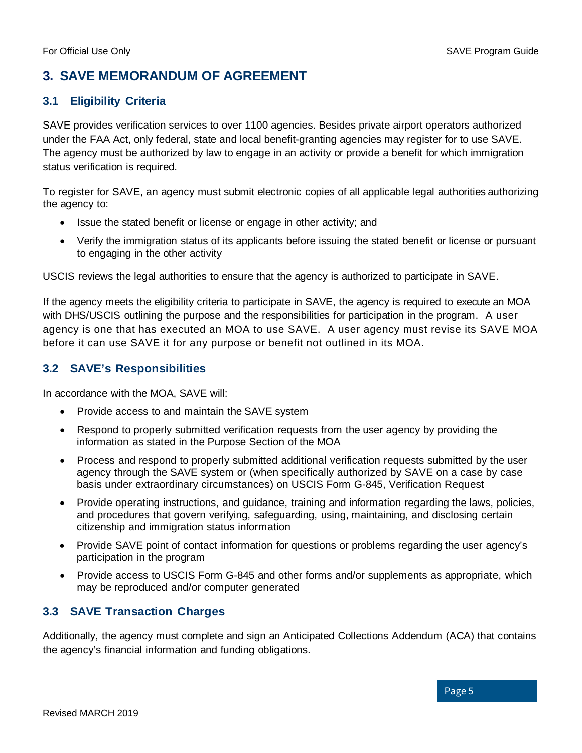#### <span id="page-7-0"></span>**3. SAVE MEMORANDUM OF AGREEMENT**

#### <span id="page-7-1"></span>**3.1 Eligibility Criteria**

SAVE provides verification services to over 1100 agencies. Besides private airport operators authorized under the FAA Act, only federal, state and local benefit-granting agencies may register for to use SAVE. The agency must be authorized by law to engage in an activity or provide a benefit for which immigration status verification is required.

To register for SAVE, an agency must submit electronic copies of all applicable legal authorities authorizing the agency to:

- Issue the stated benefit or license or engage in other activity; and
- Verify the immigration status of its applicants before issuing the stated benefit or license or pursuant to engaging in the other activity

USCIS reviews the legal authorities to ensure that the agency is authorized to participate in SAVE.

If the agency meets the eligibility criteria to participate in SAVE, the agency is required to execute an MOA with DHS/USCIS outlining the purpose and the responsibilities for participation in the program. A user agency is one that has executed an MOA to use SAVE. A user agency must revise its SAVE MOA before it can use SAVE it for any purpose or benefit not outlined in its MOA.

#### <span id="page-7-2"></span>**3.2 SAVE's Responsibilities**

In accordance with the MOA, SAVE will:

- Provide access to and maintain the SAVE system
- Respond to properly submitted verification requests from the user agency by providing the information as stated in the Purpose Section of the MOA
- Process and respond to properly submitted additional verification requests submitted by the user agency through the SAVE system or (when specifically authorized by SAVE on a case by case basis under extraordinary circumstances) on USCIS Form G-845, Verification Request
- Provide operating instructions, and guidance, training and information regarding the laws, policies, and procedures that govern verifying, safeguarding, using, maintaining, and disclosing certain citizenship and immigration status information
- Provide SAVE point of contact information for questions or problems regarding the user agency's participation in the program
- Provide access to USCIS Form G-845 and other forms and/or supplements as appropriate, which may be reproduced and/or computer generated

#### <span id="page-7-3"></span>**3.3 SAVE Transaction Charges**

Additionally, the agency must complete and sign an Anticipated Collections Addendum (ACA) that contains the agency's financial information and funding obligations.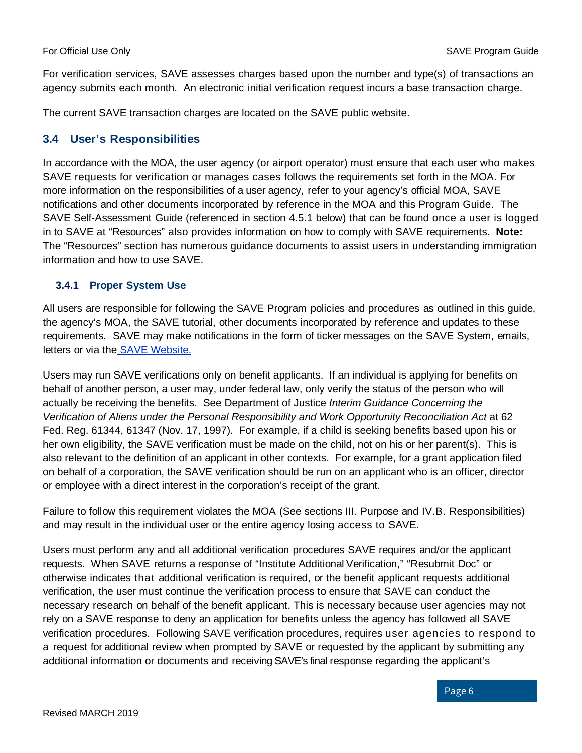For verification services, SAVE assesses charges based upon the number and type(s) of transactions an agency submits each month. An electronic initial verification request incurs a base transaction charge.

The current SAVE transaction charges are located on the SAVE public website.

#### <span id="page-8-0"></span>**3.4 User's Responsibilities**

In accordance with the MOA, the user agency (or airport operator) must ensure that each user who makes SAVE requests for verification or manages cases follows the requirements set forth in the MOA. For more information on the responsibilities of a user agency, refer to your agency's official MOA, SAVE notifications and other documents incorporated by reference in the MOA and this Program Guide. The SAVE Self-Assessment Guide (referenced in section 4.5.1 below) that can be found once a user is logged in to SAVE at "Resources" also provides information on how to comply with SAVE requirements. **Note:** The "Resources" section has numerous guidance documents to assist users in understanding immigration information and how to use SAVE.

#### <span id="page-8-1"></span>**3.4.1 Proper System Use**

All users are responsible for following the SAVE Program policies and procedures as outlined in this guide, the agency's MOA, the SAVE tutorial, other documents incorporated by reference and updates to these requirements. SAVE may make notifications in the form of ticker messages on the SAVE System, emails, letters or via the [SAVE Website.](http://www.uscis.gov/save)

Users may run SAVE verifications only on benefit applicants. If an individual is applying for benefits on behalf of another person, a user may, under federal law, only verify the status of the person who will actually be receiving the benefits. See Department of Justice *Interim Guidance Concerning the Verification of Aliens under the Personal Responsibility and Work Opportunity Reconciliation Act at 62* Fed. Reg. 61344, 61347 (Nov. 17, 1997). For example, if a child is seeking benefits based upon his or her own eligibility, the SAVE verification must be made on the child, not on his or her parent(s). This is also relevant to the definition of an applicant in other contexts. For example, for a grant application filed on behalf of a corporation, the SAVE verification should be run on an applicant who is an officer, director or employee with a direct interest in the corporation's receipt of the grant.

Failure to follow this requirement violates the MOA (See sections III. Purpose and IV.B. Responsibilities) and may result in the individual user or the entire agency losing access to SAVE.

Users must perform any and all additional verification procedures SAVE requires and/or the applicant requests. When SAVE returns a response of "Institute Additional Verification," "Resubmit Doc" or otherwise indicates that additional verification is required, or the benefit applicant requests additional verification, the user must continue the verification process to ensure that SAVE can conduct the necessary research on behalf of the benefit applicant. This is necessary because user agencies may not rely on a SAVE response to deny an application for benefits unless the agency has followed all SAVE verification procedures. Following SAVE verification procedures, requires user agencies to respond to a request for additional review when prompted by SAVE or requested by the applicant by submitting any additional information or documents and receiving SAVE's final response regarding the applicant's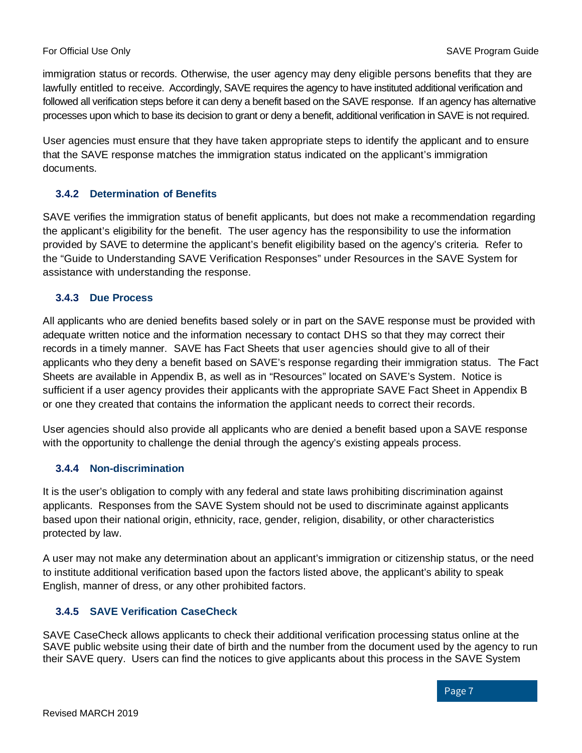immigration status or records. Otherwise, the user agency may deny eligible persons benefits that they are lawfully entitled to receive. Accordingly, SAVE requires the agency to have instituted additional verification and followed all verification steps before it can deny a benefit based on the SAVE response. If an agency has alternative processes upon which to base its decision to grant or deny a benefit, additional verification in SAVE is not required.

User agencies must ensure that they have taken appropriate steps to identify the applicant and to ensure that the SAVE response matches the immigration status indicated on the applicant's immigration documents.

#### <span id="page-9-0"></span>**3.4.2 Determination of Benefits**

SAVE verifies the immigration status of benefit applicants, but does not make a recommendation regarding the applicant's eligibility for the benefit. The user agency has the responsibility to use the information provided by SAVE to determine the applicant's benefit eligibility based on the agency's criteria. Refer to the "Guide to Understanding SAVE Verification Responses" under Resources in the SAVE System for assistance with understanding the response.

#### <span id="page-9-1"></span>**3.4.3 Due Process**

All applicants who are denied benefits based solely or in part on the SAVE response must be provided with adequate written notice and the information necessary to contact DHS so that they may correct their records in a timely manner. SAVE has Fact Sheets that user agencies should give to all of their applicants who they deny a benefit based on SAVE's response regarding their immigration status. The Fact Sheets are available in Appendix B, as well as in "Resources" located on SAVE's System. Notice is sufficient if a user agency provides their applicants with the appropriate SAVE Fact Sheet in Appendix B or one they created that contains the information the applicant needs to correct their records.

User agencies should also provide all applicants who are denied a benefit based upon a SAVE response with the opportunity to challenge the denial through the agency's existing appeals process.

#### <span id="page-9-2"></span>**3.4.4 Non-discrimination**

It is the user's obligation to comply with any federal and state laws prohibiting discrimination against applicants. Responses from the SAVE System should not be used to discriminate against applicants based upon their national origin, ethnicity, race, gender, religion, disability, or other characteristics protected by law.

A user may not make any determination about an applicant's immigration or citizenship status, or the need to institute additional verification based upon the factors listed above, the applicant's ability to speak English, manner of dress, or any other prohibited factors.

#### <span id="page-9-3"></span>**3.4.5 SAVE Verification CaseCheck**

SAVE CaseCheck allows applicants to check their additional verification processing status online at the SAVE public website using their date of birth and the number from the document used by the agency to run their SAVE query. Users can find the notices to give applicants about this process in the SAVE System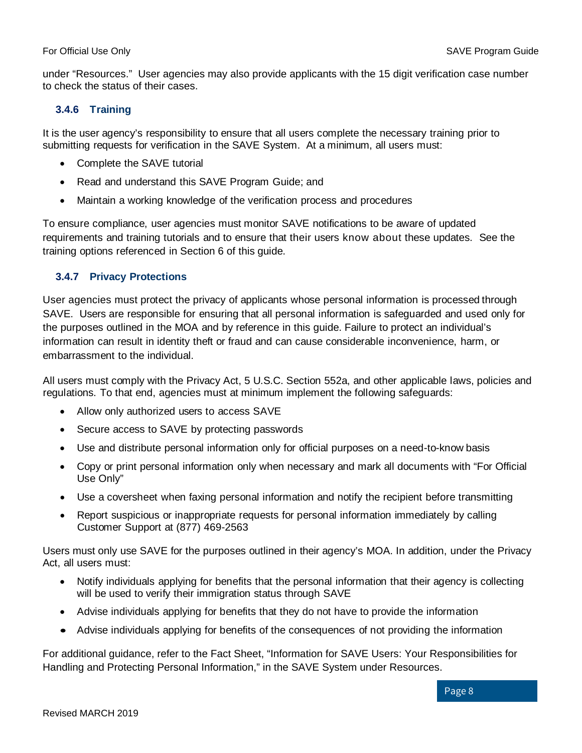under "Resources." User agencies may also provide applicants with the 15 digit verification case number to check the status of their cases.

#### <span id="page-10-0"></span>**3.4.6 Training**

It is the user agency's responsibility to ensure that all users complete the necessary training prior to submitting requests for verification in the SAVE System. At a minimum, all users must:

- Complete the SAVE tutorial
- Read and understand this SAVE Program Guide; and
- Maintain a working knowledge of the verification process and procedures

To ensure compliance, user agencies must monitor SAVE notifications to be aware of updated requirements and training tutorials and to ensure that their users know about these updates. See the training options referenced in Section 6 of this guide.

#### <span id="page-10-1"></span>**3.4.7 Privacy Protections**

User agencies must protect the privacy of applicants whose personal information is processed through SAVE. Users are responsible for ensuring that all personal information is safeguarded and used only for the purposes outlined in the MOA and by reference in this guide. Failure to protect an individual's information can result in identity theft or fraud and can cause considerable inconvenience, harm, or embarrassment to the individual.

All users must comply with the Privacy Act, 5 U.S.C. Section 552a, and other applicable laws, policies and regulations. To that end, agencies must at minimum implement the following safeguards:

- Allow only authorized users to access SAVE
- Secure access to SAVE by protecting passwords
- Use and distribute personal information only for official purposes on a need-to-know basis
- Copy or print personal information only when necessary and mark all documents with "For Official Use Only"
- Use a coversheet when faxing personal information and notify the recipient before transmitting
- Report suspicious or inappropriate requests for personal information immediately by calling Customer Support at (877) 469-2563

Users must only use SAVE for the purposes outlined in their agency's MOA. In addition, under the Privacy Act, all users must:

- Notify individuals applying for benefits that the personal information that their agency is collecting will be used to verify their immigration status through SAVE
- Advise individuals applying for benefits that they do not have to provide the information
- Advise individuals applying for benefits of the consequences of not providing the information

For additional guidance, refer to the Fact Sheet, "Information for SAVE Users: Your Responsibilities for Handling and Protecting Personal Information," in the SAVE System under Resources.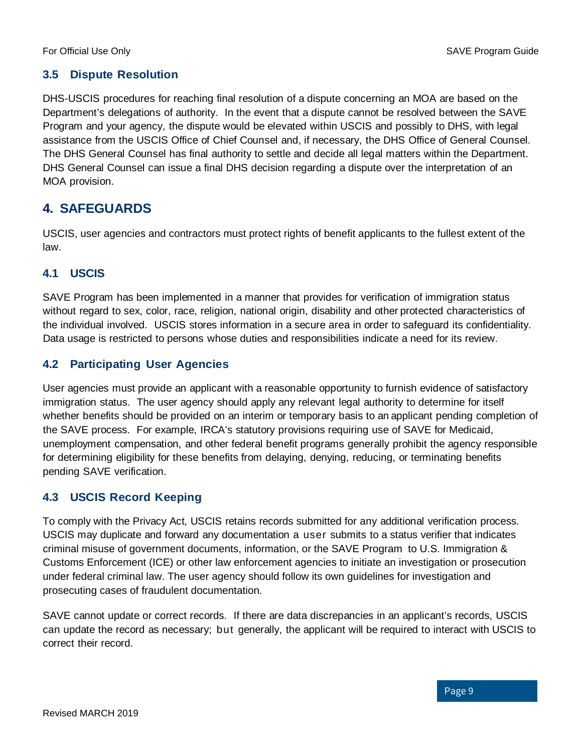#### <span id="page-11-0"></span>**3.5 Dispute Resolution**

DHS-USCIS procedures for reaching final resolution of a dispute concerning an MOA are based on the Department's delegations of authority. In the event that a dispute cannot be resolved between the SAVE Program and your agency, the dispute would be elevated within USCIS and possibly to DHS, with legal assistance from the USCIS Office of Chief Counsel and, if necessary, the DHS Office of General Counsel. The DHS General Counsel has final authority to settle and decide all legal matters within the Department. DHS General Counsel can issue a final DHS decision regarding a dispute over the interpretation of an MOA provision.

#### <span id="page-11-1"></span>**4. SAFEGUARDS**

USCIS, user agencies and contractors must protect rights of benefit applicants to the fullest extent of the law.

#### <span id="page-11-2"></span>**4.1 USCIS**

SAVE Program has been implemented in a manner that provides for verification of immigration status without regard to sex, color, race, religion, national origin, disability and other protected characteristics of the individual involved. USCIS stores information in a secure area in order to safeguard its confidentiality. Data usage is restricted to persons whose duties and responsibilities indicate a need for its review.

#### <span id="page-11-3"></span>**4.2 Participating User Agencies**

User agencies must provide an applicant with a reasonable opportunity to furnish evidence of satisfactory immigration status. The user agency should apply any relevant legal authority to determine for itself whether benefits should be provided on an interim or temporary basis to an applicant pending completion of the SAVE process. For example, IRCA's statutory provisions requiring use of SAVE for Medicaid, unemployment compensation, and other federal benefit programs generally prohibit the agency responsible for determining eligibility for these benefits from delaying, denying, reducing, or terminating benefits pending SAVE verification.

#### <span id="page-11-4"></span>**4.3 USCIS Record Keeping**

To comply with the Privacy Act, USCIS retains records submitted for any additional verification process. USCIS may duplicate and forward any documentation a user submits to a status verifier that indicates criminal misuse of government documents, information, or the SAVE Program to U.S. Immigration & Customs Enforcement (ICE) or other law enforcement agencies to initiate an investigation or prosecution under federal criminal law. The user agency should follow its own guidelines for investigation and prosecuting cases of fraudulent documentation.

SAVE cannot update or correct records. If there are data discrepancies in an applicant's records, USCIS can update the record as necessary; but generally, the applicant will be required to interact with USCIS to correct their record.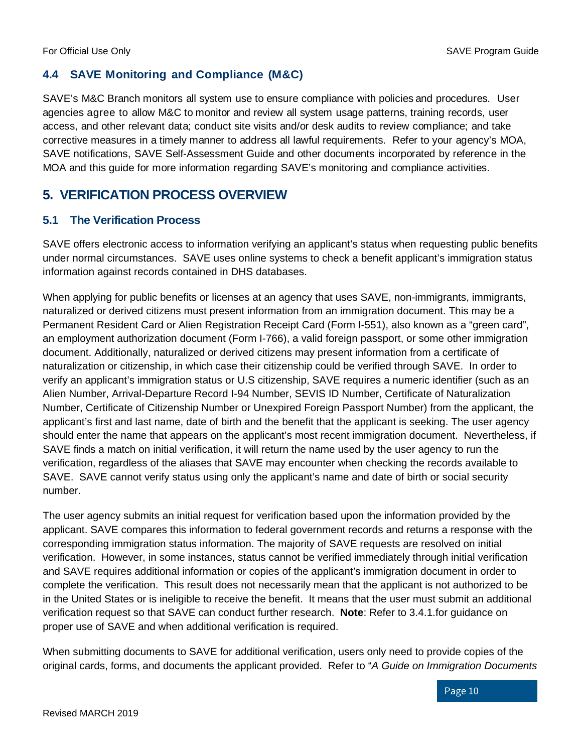#### <span id="page-12-0"></span>**4.4 SAVE Monitoring and Compliance (M&C)**

SAVE's M&C Branch monitors all system use to ensure compliance with policies and procedures. User agencies agree to allow M&C to monitor and review all system usage patterns, training records, user access, and other relevant data; conduct site visits and/or desk audits to review compliance; and take corrective measures in a timely manner to address all lawful requirements. Refer to your agency's MOA, SAVE notifications, SAVE Self-Assessment Guide and other documents incorporated by reference in the MOA and this guide for more information regarding SAVE's monitoring and compliance activities.

### <span id="page-12-1"></span>**5. VERIFICATION PROCESS OVERVIEW**

#### <span id="page-12-2"></span>**5.1 The Verification Process**

SAVE offers electronic access to information verifying an applicant's status when requesting public benefits under normal circumstances. SAVE uses online systems to check a benefit applicant's immigration status information against records contained in DHS databases.

When applying for public benefits or licenses at an agency that uses SAVE, non-immigrants, immigrants, naturalized or derived citizens must present information from an immigration document. This may be a Permanent Resident Card or Alien Registration Receipt Card (Form I-551), also known as a "green card", an employment authorization document (Form I-766), a valid foreign passport, or some other immigration document. Additionally, naturalized or derived citizens may present information from a certificate of naturalization or citizenship, in which case their citizenship could be verified through SAVE. In order to verify an applicant's immigration status or U.S citizenship, SAVE requires a numeric identifier (such as an Alien Number, Arrival-Departure Record I-94 Number, SEVIS ID Number, Certificate of Naturalization Number, Certificate of Citizenship Number or Unexpired Foreign Passport Number) from the applicant, the applicant's first and last name, date of birth and the benefit that the applicant is seeking. The user agency should enter the name that appears on the applicant's most recent immigration document. Nevertheless, if SAVE finds a match on initial verification, it will return the name used by the user agency to run the verification, regardless of the aliases that SAVE may encounter when checking the records available to SAVE. SAVE cannot verify status using only the applicant's name and date of birth or social security number.

The user agency submits an initial request for verification based upon the information provided by the applicant. SAVE compares this information to federal government records and returns a response with the corresponding immigration status information. The majority of SAVE requests are resolved on initial verification. However, in some instances, status cannot be verified immediately through initial verification and SAVE requires additional information or copies of the applicant's immigration document in order to complete the verification. This result does not necessarily mean that the applicant is not authorized to be in the United States or is ineligible to receive the benefit. It means that the user must submit an additional verification request so that SAVE can conduct further research. **Note**: Refer to 3.4.1.for guidance on proper use of SAVE and when additional verification is required.

When submitting documents to SAVE for additional verification, users only need to provide copies of the original cards, forms, and documents the applicant provided. Refer to "*A Guide on Immigration Documents*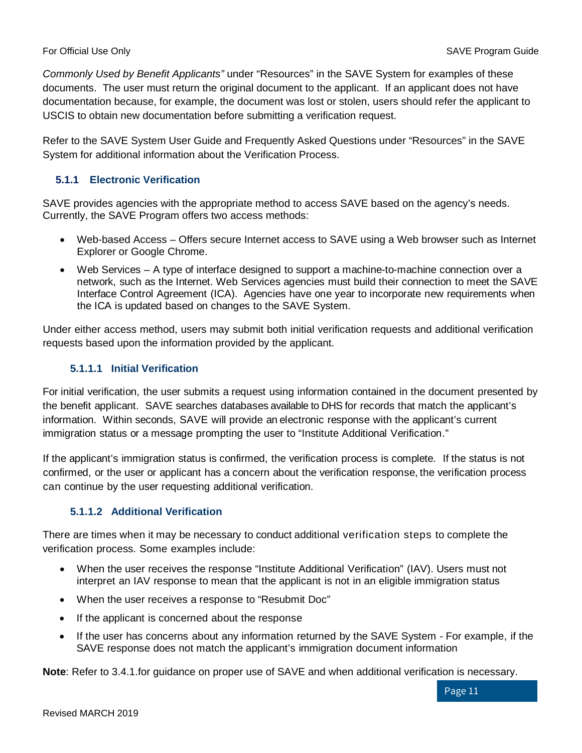*Commonly Used by Benefit Applicants"* under "Resources" in the SAVE System for examples of these documents. The user must return the original document to the applicant. If an applicant does not have documentation because, for example, the document was lost or stolen, users should refer the applicant to USCIS to obtain new documentation before submitting a verification request.

Refer to the SAVE System User Guide and Frequently Asked Questions under "Resources" in the SAVE System for additional information about the Verification Process.

#### <span id="page-13-0"></span>**5.1.1 Electronic Verification**

SAVE provides agencies with the appropriate method to access SAVE based on the agency's needs. Currently, the SAVE Program offers two access methods:

- Web-based Access Offers secure Internet access to SAVE using a Web browser such as Internet Explorer or Google Chrome.
- Web Services A type of interface designed to support a machine-to-machine connection over a network, such as the Internet. Web Services agencies must build their connection to meet the SAVE Interface Control Agreement (ICA). Agencies have one year to incorporate new requirements when the ICA is updated based on changes to the SAVE System.

Under either access method, users may submit both initial verification requests and additional verification requests based upon the information provided by the applicant.

#### **5.1.1.1 Initial Verification**

For initial verification, the user submits a request using information contained in the document presented by the benefit applicant. SAVE searches databases available to DHS for records that match the applicant's information. Within seconds, SAVE will provide an electronic response with the applicant's current immigration status or a message prompting the user to "Institute Additional Verification."

If the applicant's immigration status is confirmed, the verification process is complete. If the status is not confirmed, or the user or applicant has a concern about the verification response, the verification process can continue by the user requesting additional verification.

#### **5.1.1.2 Additional Verification**

There are times when it may be necessary to conduct additional verification steps to complete the verification process. Some examples include:

- When the user receives the response "Institute Additional Verification" (IAV). Users must not interpret an IAV response to mean that the applicant is not in an eligible immigration status
- When the user receives a response to "Resubmit Doc"
- If the applicant is concerned about the response
- If the user has concerns about any information returned by the SAVE System For example, if the SAVE response does not match the applicant's immigration document information

**Note**: Refer to 3.4.1.for guidance on proper use of SAVE and when additional verification is necessary.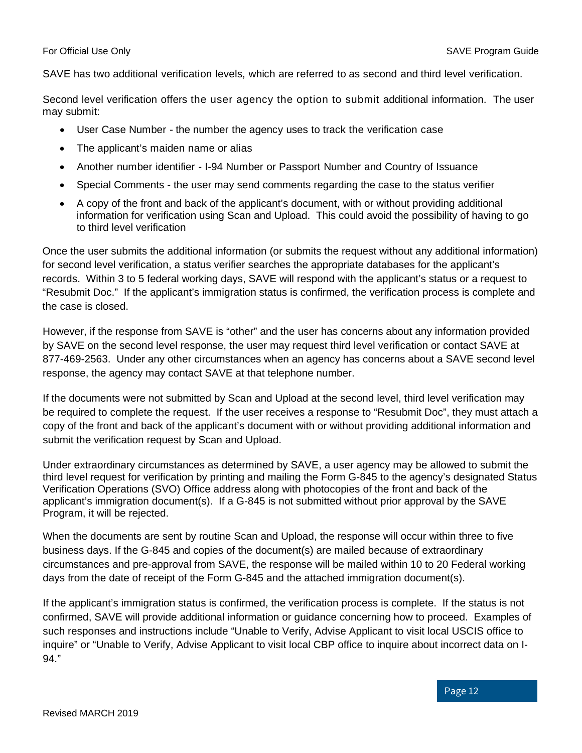SAVE has two additional verification levels, which are referred to as second and third level verification.

Second level verification offers the user agency the option to submit additional information. The user may submit:

- User Case Number the number the agency uses to track the verification case
- The applicant's maiden name or alias
- Another number identifier I-94 Number or Passport Number and Country of Issuance
- Special Comments the user may send comments regarding the case to the status verifier
- A copy of the front and back of the applicant's document, with or without providing additional information for verification using Scan and Upload. This could avoid the possibility of having to go to third level verification

Once the user submits the additional information (or submits the request without any additional information) for second level verification, a status verifier searches the appropriate databases for the applicant's records. Within 3 to 5 federal working days, SAVE will respond with the applicant's status or a request to "Resubmit Doc." If the applicant's immigration status is confirmed, the verification process is complete and the case is closed.

However, if the response from SAVE is "other" and the user has concerns about any information provided by SAVE on the second level response, the user may request third level verification or contact SAVE at 877-469-2563. Under any other circumstances when an agency has concerns about a SAVE second level response, the agency may contact SAVE at that telephone number.

If the documents were not submitted by Scan and Upload at the second level, third level verification may be required to complete the request. If the user receives a response to "Resubmit Doc", they must attach a copy of the front and back of the applicant's document with or without providing additional information and submit the verification request by Scan and Upload.

Under extraordinary circumstances as determined by SAVE, a user agency may be allowed to submit the third level request for verification by printing and mailing the Form G-845 to the agency's designated Status Verification Operations (SVO) Office address along with photocopies of the front and back of the applicant's immigration document(s). If a G-845 is not submitted without prior approval by the SAVE Program, it will be rejected.

When the documents are sent by routine Scan and Upload, the response will occur within three to five business days. If the G-845 and copies of the document(s) are mailed because of extraordinary circumstances and pre-approval from SAVE, the response will be mailed within 10 to 20 Federal working days from the date of receipt of the Form G-845 and the attached immigration document(s).

If the applicant's immigration status is confirmed, the verification process is complete. If the status is not confirmed, SAVE will provide additional information or guidance concerning how to proceed. Examples of such responses and instructions include "Unable to Verify, Advise Applicant to visit local USCIS office to inquire" or "Unable to Verify, Advise Applicant to visit local CBP office to inquire about incorrect data on I-94."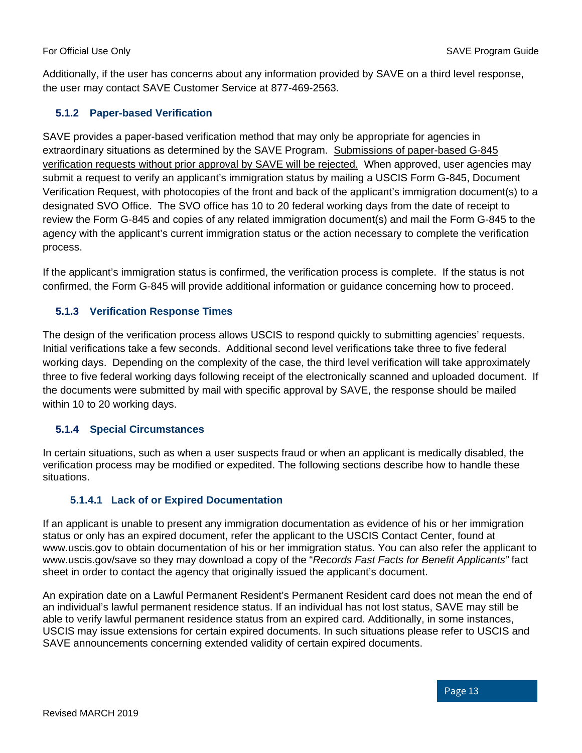Additionally, if the user has concerns about any information provided by SAVE on a third level response, the user may contact SAVE Customer Service at 877-469-2563.

#### <span id="page-15-0"></span>**5.1.2 Paper-based Verification**

SAVE provides a paper-based verification method that may only be appropriate for agencies in extraordinary situations as determined by the SAVE Program. Submissions of paper-based G-845 verification requests without prior approval by SAVE will be rejected. When approved, user agencies may submit a request to verify an applicant's immigration status by mailing a USCIS Form G-845, Document Verification Request, with photocopies of the front and back of the applicant's immigration document(s) to a designated SVO Office. The SVO office has 10 to 20 federal working days from the date of receipt to review the Form G-845 and copies of any related immigration document(s) and mail the Form G-845 to the agency with the applicant's current immigration status or the action necessary to complete the verification process.

If the applicant's immigration status is confirmed, the verification process is complete. If the status is not confirmed, the Form G-845 will provide additional information or guidance concerning how to proceed.

#### <span id="page-15-1"></span>**5.1.3 Verification Response Times**

The design of the verification process allows USCIS to respond quickly to submitting agencies' requests. Initial verifications take a few seconds. Additional second level verifications take three to five federal working days. Depending on the complexity of the case, the third level verification will take approximately three to five federal working days following receipt of the electronically scanned and uploaded document. If the documents were submitted by mail with specific approval by SAVE, the response should be mailed within 10 to 20 working days.

#### <span id="page-15-2"></span>**5.1.4 Special Circumstances**

In certain situations, such as when a user suspects fraud or when an applicant is medically disabled, the verification process may be modified or expedited. The following sections describe how to handle these situations.

#### **5.1.4.1 Lack of or Expired Documentation**

If an applicant is unable to present any immigration documentation as evidence of his or her immigration status or only has an expired document, refer the applicant to the USCIS Contact Center, found at www.uscis.gov to obtain documentation of his or her immigration status. You can also refer the applicant to www.uscis.gov/save so they may download a copy of the "*Records Fast Facts for Benefit Applicants"* fact sheet in order to contact the agency that originally issued the applicant's document.

An expiration date on a Lawful Permanent Resident's Permanent Resident card does not mean the end of an individual's lawful permanent residence status. If an individual has not lost status, SAVE may still be able to verify lawful permanent residence status from an expired card. Additionally, in some instances, USCIS may issue extensions for certain expired documents. In such situations please refer to USCIS and SAVE announcements concerning extended validity of certain expired documents.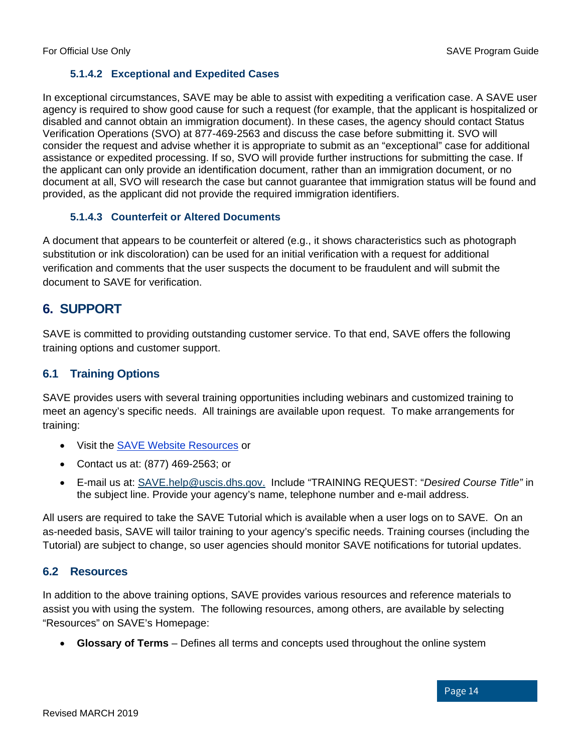#### **5.1.4.2 Exceptional and Expedited Cases**

In exceptional circumstances, SAVE may be able to assist with expediting a verification case. A SAVE user agency is required to show good cause for such a request (for example, that the applicant is hospitalized or disabled and cannot obtain an immigration document). In these cases, the agency should contact Status Verification Operations (SVO) at 877-469-2563 and discuss the case before submitting it. SVO will consider the request and advise whether it is appropriate to submit as an "exceptional" case for additional assistance or expedited processing. If so, SVO will provide further instructions for submitting the case. If the applicant can only provide an identification document, rather than an immigration document, or no document at all, SVO will research the case but cannot guarantee that immigration status will be found and provided, as the applicant did not provide the required immigration identifiers.

#### **5.1.4.3 Counterfeit or Altered Documents**

A document that appears to be counterfeit or altered (e.g., it shows characteristics such as photograph substitution or ink discoloration) can be used for an initial verification with a request for additional verification and comments that the user suspects the document to be fraudulent and will submit the document to SAVE for verification.

#### <span id="page-16-0"></span>**6. SUPPORT**

SAVE is committed to providing outstanding customer service. To that end, SAVE offers the following training options and customer support.

#### <span id="page-16-1"></span>**6.1 Training Options**

SAVE provides users with several training opportunities including webinars and customized training to meet an agency's specific needs. All trainings are available upon request. To make arrangements for training:

- Visit the [SAVE Website Resources](https://www.uscis.gov/save/resources) or
- Contact us at: (877) 469-2563; or
- E-mail us at: [SAVE.help@uscis.dhs.gov.](mailto:SAVE.help@uscis.dhs.gov) Include "TRAINING REQUEST: "*Desired Course Title"* in the subject line. Provide your agency's name, telephone number and e-mail address.

All users are required to take the SAVE Tutorial which is available when a user logs on to SAVE. On an as-needed basis, SAVE will tailor training to your agency's specific needs. Training courses (including the Tutorial) are subject to change, so user agencies should monitor SAVE notifications for tutorial updates.

#### <span id="page-16-2"></span>**6.2 Resources**

In addition to the above training options, SAVE provides various resources and reference materials to assist you with using the system. The following resources, among others, are available by selecting "Resources" on SAVE's Homepage:

• **Glossary of Terms** – Defines all terms and concepts used throughout the online system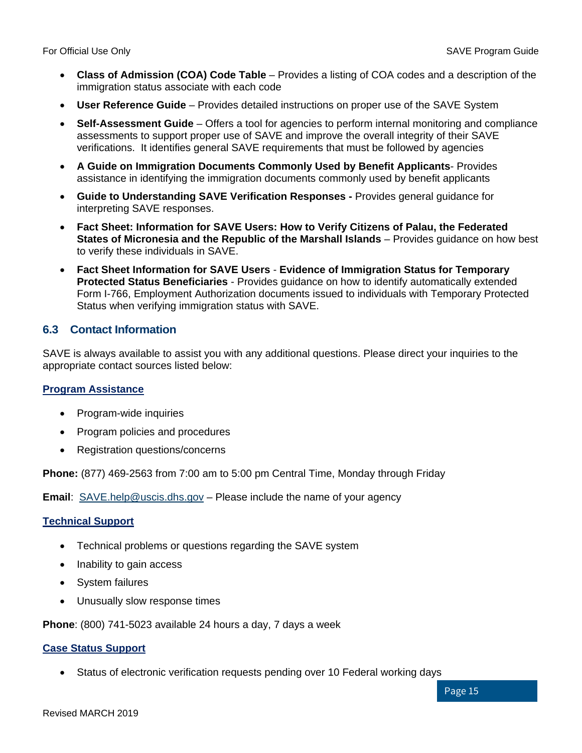- **Class of Admission (COA) Code Table** Provides a listing of COA codes and a description of the immigration status associate with each code
- **User Reference Guide** Provides detailed instructions on proper use of the SAVE System
- **Self-Assessment Guide** Offers a tool for agencies to perform internal monitoring and compliance assessments to support proper use of SAVE and improve the overall integrity of their SAVE verifications. It identifies general SAVE requirements that must be followed by agencies
- **A Guide on Immigration Documents Commonly Used by Benefit Applicants** Provides assistance in identifying the immigration documents commonly used by benefit applicants
- **Guide to Understanding SAVE Verification Responses -** Provides general guidance for interpreting SAVE responses.
- **Fact Sheet: Information for SAVE Users: How to Verify Citizens of Palau, the Federated States of Micronesia and the Republic of the Marshall Islands** – Provides guidance on how best to verify these individuals in SAVE.
- **Fact Sheet Information for SAVE Users Evidence of Immigration Status for Temporary Protected Status Beneficiaries** - Provides guidance on how to identify automatically extended Form I-766, Employment Authorization documents issued to individuals with Temporary Protected Status when verifying immigration status with SAVE.

#### <span id="page-17-0"></span>**6.3 Contact Information**

SAVE is always available to assist you with any additional questions. Please direct your inquiries to the appropriate contact sources listed below:

#### **Program Assistance**

- Program-wide inquiries
- Program policies and procedures
- Registration questions/concerns

**Phone:** (877) 469-2563 from 7:00 am to 5:00 pm Central Time, Monday through Friday

**Email:** [SAVE.help@uscis.dhs.gov](mailto:SAVE.help@uscis.dhs.gov) – Please include the name of your agency

#### **Technical Support**

- Technical problems or questions regarding the SAVE system
- Inability to gain access
- System failures
- Unusually slow response times

**Phone**: (800) 741-5023 available 24 hours a day, 7 days a week

#### **Case Status Support**

• Status of electronic verification requests pending over 10 Federal working days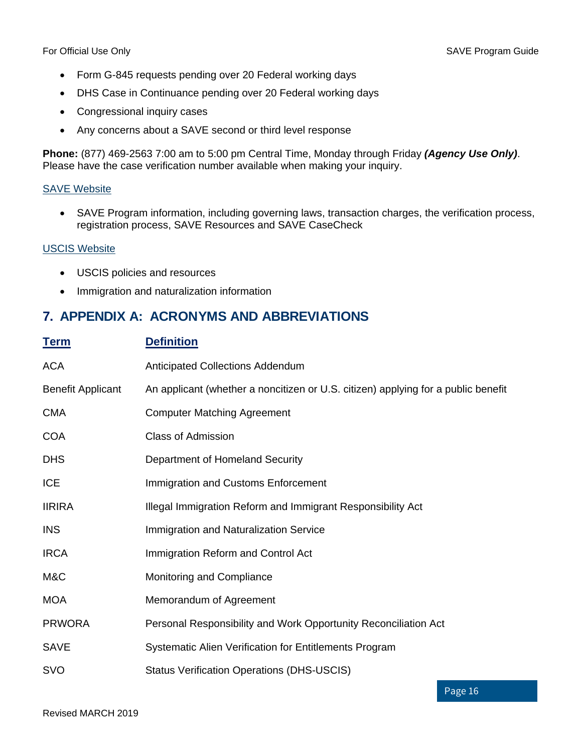- Form G-845 requests pending over 20 Federal working days
- DHS Case in Continuance pending over 20 Federal working days
- Congressional inquiry cases
- Any concerns about a SAVE second or third level response

**Phone:** (877) 469-2563 7:00 am to 5:00 pm Central Time, Monday through Friday *(Agency Use Only)*. Please have the case verification number available when making your inquiry.

#### [SAVE Website](https://www.uscis.gov/save)

• SAVE Program information, including governing laws, transaction charges, the verification process, registration process, SAVE Resources and SAVE CaseCheck

#### [USCIS Website](https://www.uscis.gov/)

- USCIS policies and resources
- Immigration and naturalization information

#### <span id="page-18-0"></span>**7. APPENDIX A: ACRONYMS AND ABBREVIATIONS**

| <b>Term</b>              | <b>Definition</b>                                                                 |
|--------------------------|-----------------------------------------------------------------------------------|
| <b>ACA</b>               | Anticipated Collections Addendum                                                  |
| <b>Benefit Applicant</b> | An applicant (whether a noncitizen or U.S. citizen) applying for a public benefit |
| <b>CMA</b>               | <b>Computer Matching Agreement</b>                                                |
| <b>COA</b>               | <b>Class of Admission</b>                                                         |
| <b>DHS</b>               | Department of Homeland Security                                                   |
| <b>ICE</b>               | Immigration and Customs Enforcement                                               |
| <b>IIRIRA</b>            | Illegal Immigration Reform and Immigrant Responsibility Act                       |
| <b>INS</b>               | Immigration and Naturalization Service                                            |
| <b>IRCA</b>              | Immigration Reform and Control Act                                                |
| M&C                      | Monitoring and Compliance                                                         |
| <b>MOA</b>               | Memorandum of Agreement                                                           |
| <b>PRWORA</b>            | Personal Responsibility and Work Opportunity Reconciliation Act                   |
| <b>SAVE</b>              | Systematic Alien Verification for Entitlements Program                            |
| <b>SVO</b>               | <b>Status Verification Operations (DHS-USCIS)</b>                                 |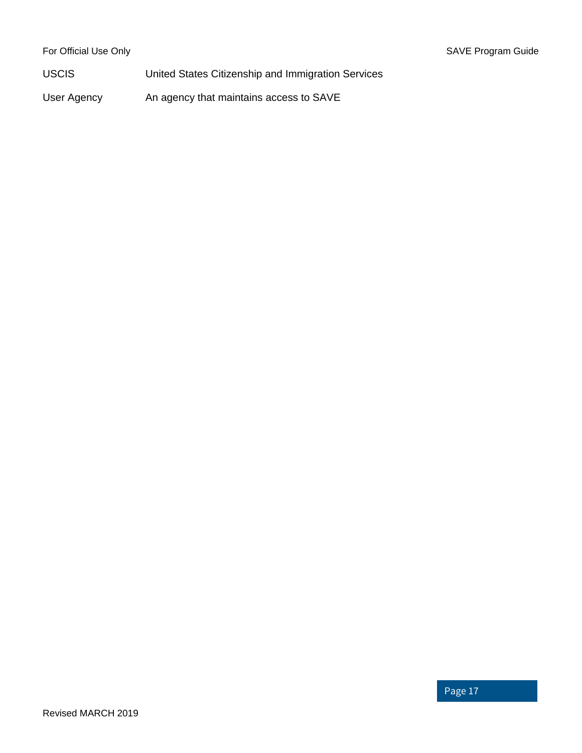USCIS United States Citizenship and Immigration Services

User Agency An agency that maintains access to SAVE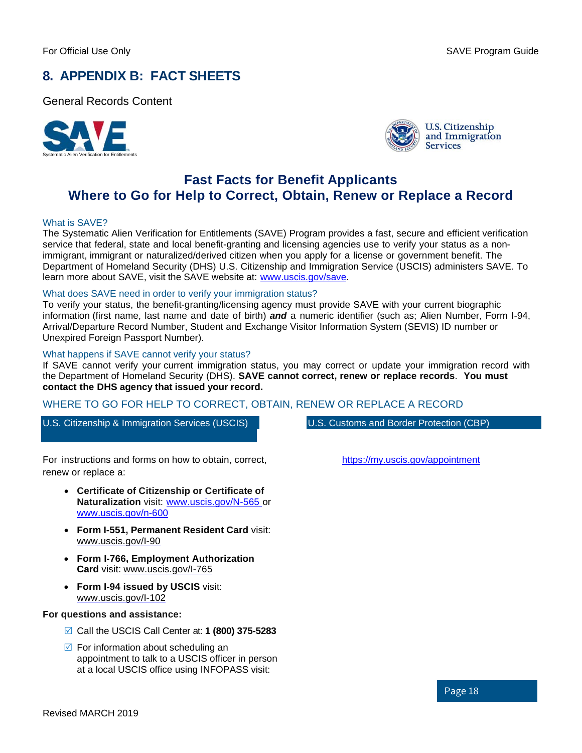### <span id="page-20-0"></span>**8. APPENDIX B: FACT SHEETS**

General Records Content





#### **Fast Facts for Benefit Applicants Where to Go for Help to Correct, Obtain, Renew or Replace a Record**

#### What is SAVE?

The Systematic Alien Verification for Entitlements (SAVE) Program provides a fast, secure and efficient verification service that federal, state and local benefit-granting and licensing agencies use to verify your status as a nonimmigrant, immigrant or naturalized/derived citizen when you apply for a license or government benefit. The Department of Homeland Security (DHS) U.S. Citizenship and Immigration Service (USCIS) administers SAVE. To learn more about SAVE, visit the SAVE website at: [www.uscis.gov/save.](https://www.uscis.gov/save)

#### What does SAVE need in order to verify your immigration status?

To verify your status, the benefit-granting/licensing agency must provide SAVE with your current biographic information (first name, last name and date of birth) *and* a numeric identifier (such as; Alien Number, Form I-94, Arrival/Departure Record Number, Student and Exchange Visitor Information System (SEVIS) ID number or Unexpired Foreign Passport Number).

#### What happens if SAVE cannot verify your status?

If SAVE cannot verify your current immigration status, you may correct or update your immigration record with the Department of Homeland Security (DHS). **SAVE cannot correct, renew or replace records**. **You must contact the DHS agency that issued your record.**

#### WHERE TO GO FOR HELP TO CORRECT, OBTAIN, RENEW OR REPLACE A RECORD

U.S. Citizenship & Immigration Services (USCIS) U.S. Customs and Border Protection (CBP)

For instructions and forms on how to obtain, correct, renew or replace a:

- **Certificate of Citizenship or Certificate of Naturalization** visit: [www.uscis.gov/N-565](https://www.uscis.gov/n-565) or [www.uscis.gov/n-600](https://www.uscis.gov/n-600)
- **Form I-551, Permanent Resident Card** visit: [www.uscis.gov/I-90](https://www.uscis.gov/i-90)
- **Form I-766, Employment Authorization Card** visit: [www.uscis.gov/I-765](https://www.uscis.gov/i-765)
- **Form I-94 issued by USCIS** visit: [www.uscis.gov/I-102](https://www.uscis.gov/i-102)

#### **For questions and assistance:**

- Call the USCIS Call Center at: **1 (800) 375-5283**
- $\triangledown$  For information about scheduling an appointment to talk to a USCIS officer in person at a local USCIS office using INFOPASS visit:

<https://my.uscis.gov/appointment>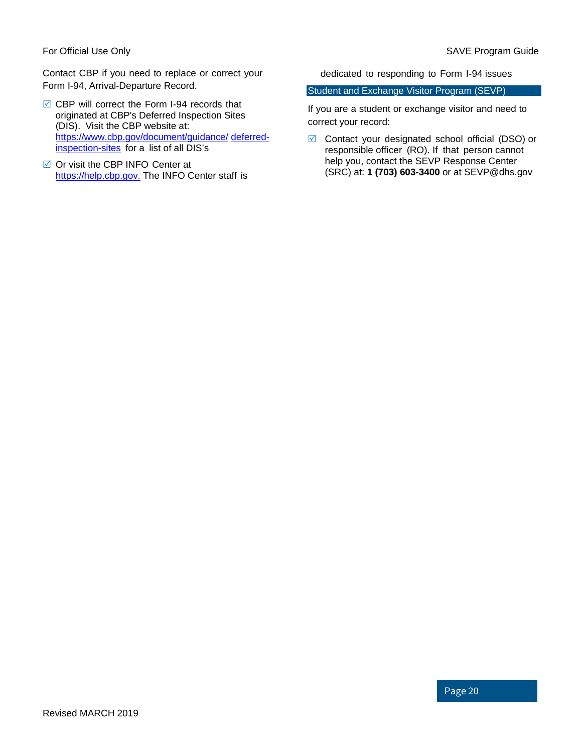Contact CBP if you need to replace or correct your Form I-94, Arrival-Departure Record.

- **☑ CBP will correct the Form I-94 records that** originated at CBP's Deferred Inspection Sites (DIS). Visit the CBP website at: [https://www.cbp.gov/document/guidance/](https://www.cbp.gov/document/guidance/deferred-inspection-sites) [deferred](https://www.cbp.gov/document/guidance/deferred-inspection-sites)[inspection-sites](https://www.cbp.gov/document/guidance/deferred-inspection-sites) for a list of all DIS's
- $\boxtimes$  Or visit the CBP INFO Center at [https://help.cbp.gov.](https://help.cbp.gov/) The INFO Center staff is

dedicated to responding to Form I-94 issues

#### Student and Exchange Visitor Program (SEVP)

If you are a student or exchange visitor and need to correct your record:

 $\boxtimes$  Contact your designated school official (DSO) or responsible officer (RO). If that person cannot help you, contact the SEVP Response Center (SRC) at: **1 (703) 603-3400** or at [SEVP@dhs.gov](mailto:SEVP@dhs.gov)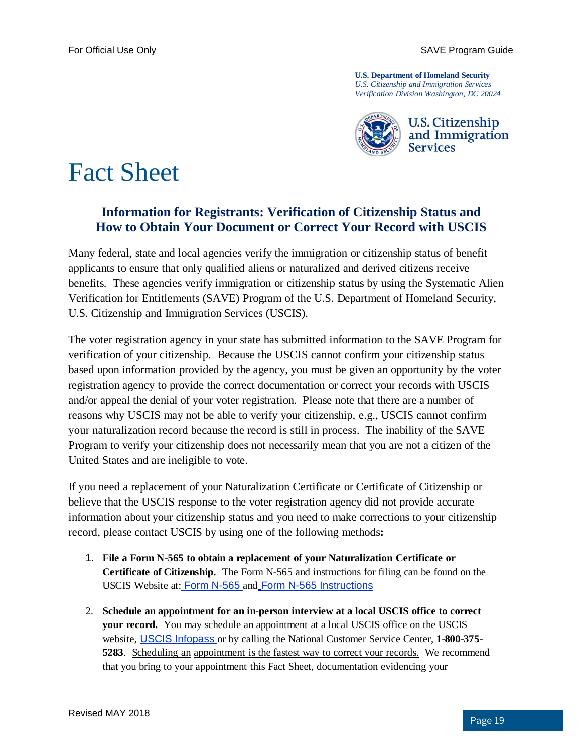**U.S. Department of Homeland Security**  *U.S. Citizenship and Immigration Services Verification Division Washington, DC 20024*



## Fact Sheet

#### **Information for Registrants: Verification of Citizenship Status and How to Obtain Your Document or Correct Your Record with USCIS**

Many federal, state and local agencies verify the immigration or citizenship status of benefit applicants to ensure that only qualified aliens or naturalized and derived citizens receive benefits. These agencies verify immigration or citizenship status by using the Systematic Alien Verification for Entitlements (SAVE) Program of the U.S. Department of Homeland Security, U.S. Citizenship and Immigration Services (USCIS).

The voter registration agency in your state has submitted information to the SAVE Program for verification of your citizenship. Because the USCIS cannot confirm your citizenship status based upon information provided by the agency, you must be given an opportunity by the voter registration agency to provide the correct documentation or correct your records with USCIS and/or appeal the denial of your voter registration. Please note that there are a number of reasons why USCIS may not be able to verify your citizenship, e.g., USCIS cannot confirm your naturalization record because the record is still in process. The inability of the SAVE Program to verify your citizenship does not necessarily mean that you are not a citizen of the United States and are ineligible to vote.

If you need a replacement of your Naturalization Certificate or Certificate of Citizenship or believe that the USCIS response to the voter registration agency did not provide accurate information about your citizenship status and you need to make corrections to your citizenship record, please contact USCIS by using one of the following methods**:**

- 1. **File a Form N-565 to obtain a replacement of your Naturalization Certificate or Certificate of Citizenship.** The Form N-565 and instructions for filing can be found on the USCIS Website at: [Form N-565](http://www.uscis.gov/files/form/n-565.pdf) and Form N-565 Instructions
- 2. **Schedule an appointment for an in-person interview at a local USCIS office to correct your record.** You may schedule an appointment at a local USCIS office on the USCIS website, [USCIS Infopass](http://infopass.uscis.gov/) or by calling the National Customer Service Center, **1-800-375- 5283**. Scheduling an appointment is the fastest way to correct your records. We recommend that you bring to your appointment this Fact Sheet, documentation evidencing your